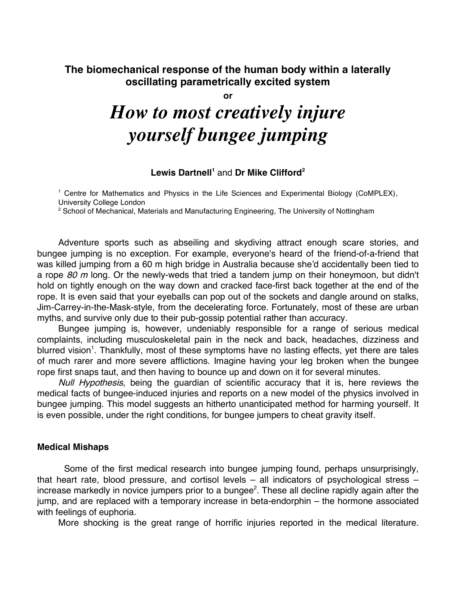## **The biomechanical response of the human body within a laterally oscillating parametrically excited system**

**or**

# *How to most creatively injure yourself bungee jumping*

#### **Lewis Dartnell <sup>1</sup>** and **Dr Mike Clifford2**

<sup>1</sup> Centre for Mathematics and Physics in the Life Sciences and Experimental Biology (CoMPLEX), University College London

 $2$  School of Mechanical, Materials and Manufacturing Engineering, The University of Nottingham

Adventure sports such as abseiling and skydiving attract enough scare stories, and bungee jumping is no exception. For example, everyone's heard of the friend-of-a-friend that was killed jumping from a 60 m high bridge in Australia because she'd accidentally been tied to a rope 80 m long. Or the newly-weds that tried a tandem jump on their honeymoon, but didn't hold on tightly enough on the way down and cracked face-first back together at the end of the rope. It is even said that your eyeballs can pop out of the sockets and dangle around on stalks, Jim-Carrey-in-the-Mask-style, from the decelerating force. Fortunately, most of these are urban myths, and survive only due to their pub-gossip potential rather than accuracy.

Bungee jumping is, however, undeniably responsible for a range of serious medical complaints, including musculoskeletal pain in the neck and back, headaches, dizziness and blurred vision<sup>1</sup>. Thankfully, most of these symptoms have no lasting effects, yet there are tales of much rarer and more severe afflictions. Imagine having your leg broken when the bungee rope first snaps taut, and then having to bounce up and down on it for several minutes.

Null Hypothesis, being the quardian of scientific accuracy that it is, here reviews the medical facts of bungee-induced injuries and reports on a new model of the physics involved in bungee jumping. This model suggests an hitherto unanticipated method for harming yourself. It is even possible, under the right conditions, for bungee jumpers to cheat gravity itself.

#### **Medical Mishaps**

Some of the first medical research into bungee jumping found, perhaps unsurprisingly, that heart rate, blood pressure, and cortisol levels – all indicators of psychological stress – increase markedly in novice jumpers prior to a bungee<sup>2</sup>. These all decline rapidly again after the jump, and are replaced with a temporary increase in beta-endorphin – the hormone associated with feelings of euphoria.

More shocking is the great range of horrific injuries reported in the medical literature.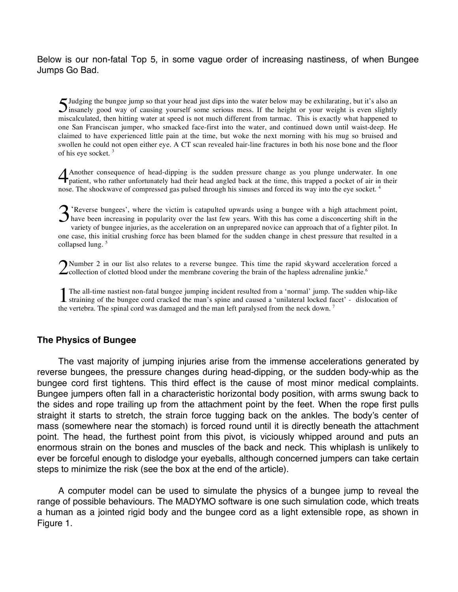Below is our non-fatal Top 5, in some vague order of increasing nastiness, of when Bungee Jumps Go Bad.

Judging the bungee jump so that your head just dips into the water below may be exhilarating, but it's also an Judging the bungee jump so that your head just dips into the water below may be exhilarating, but it's also an insanely good way of causing yourself some serious mess. If the height or your weight is even slightly miscalculated, then hitting water at speed is not much different from tarmac. This is exactly what happened to one San Franciscan jumper, who smacked face-first into the water, and continued down until waist-deep. He claimed to have experienced little pain at the time, but woke the next morning with his mug so bruised and swollen he could not open either eye. A CT scan revealed hair-line fractures in both his nose bone and the floor of his eye socket. <sup>3</sup>

Another consequence of head-dipping is the sudden pressure change as you plunge underwater. In one Another consequence of head-dipping is the sudden pressure change as you plunge underwater. In one patient, who rather unfortunately had their head angled back at the time, this trapped a pocket of air in their nose. The shockwave of compressed gas pulsed through his sinuses and forced its way into the eye socket.<sup>4</sup>

S 'Reverse bungees', where the victim is catapulted upwards using a bungee with a high attachment point,<br>have been increasing in popularity over the last few years. With this has come a disconcerting shift in the<br>variety o have been increasing in popularity over the last few years. With this has come a disconcerting shift in the variety of bungee injuries, as the acceleration on an unprepared novice can approach that of a fighter pilot. In one case, this initial crushing force has been blamed for the sudden change in chest pressure that resulted in a collapsed lung.<sup>5</sup>

Number 2 in our list also relates to a reverse bungee. This time the rapid skyward acceleration forced a collection of clotted blood under the membrane covering the brain of the hapless adrenaline junkie.<sup>6</sup> 2

The all-time nastiest non-fatal bungee jumping incident resulted from a 'normal' jump. The sudden whip-like The all-time nastiest non-fatal bungee jumping incident resulted from a 'normal' jump. The sudden whip-like straining of the bungee cord cracked the man's spine and caused a 'unilateral locked facet' - dislocation of the vertebra. The spinal cord was damaged and the man left paralysed from the neck down.<sup>7</sup>

#### **The Physics of Bungee**

The vast majority of jumping injuries arise from the immense accelerations generated by reverse bungees, the pressure changes during head-dipping, or the sudden body-whip as the bungee cord first tightens. This third effect is the cause of most minor medical complaints. Bungee jumpers often fall in a characteristic horizontal body position, with arms swung back to the sides and rope trailing up from the attachment point by the feet. When the rope first pulls straight it starts to stretch, the strain force tugging back on the ankles. The body's center of mass (somewhere near the stomach) is forced round until it is directly beneath the attachment point. The head, the furthest point from this pivot, is viciously whipped around and puts an enormous strain on the bones and muscles of the back and neck. This whiplash is unlikely to ever be forceful enough to dislodge your eyeballs, although concerned jumpers can take certain steps to minimize the risk (see the box at the end of the article).

A computer model can be used to simulate the physics of a bungee jump to reveal the range of possible behaviours. The MADYMO software is one such simulation code, which treats a human as a jointed rigid body and the bungee cord as a light extensible rope, as shown in Figure 1.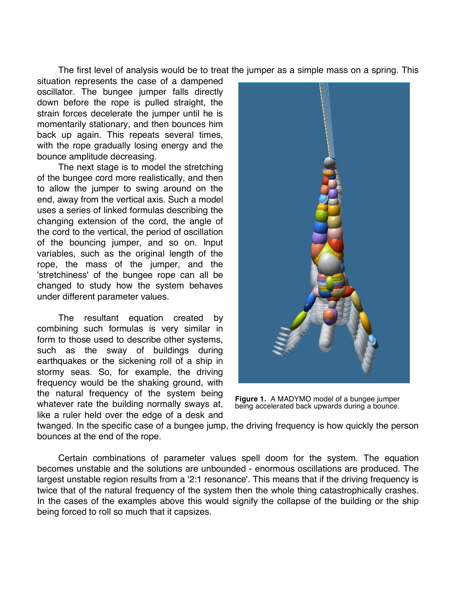The first level of analysis would be to treat the jumper as a simple mass on a spring. This

situation represents the case of a dampened oscillator. The bungee jumper falls directly down before the rope is pulled straight, the strain forces decelerate the jumper until he is momentarily stationary, and then bounces him back up again. This repeats several times, with the rope gradually losing energy and the bounce amplitude decreasing.

The next stage is to model the stretching of the bungee cord more realistically, and then to allow the jumper to swing around on the end, away from the vertical axis. Such a model uses a series of linked formulas describing the changing extension of the cord, the angle of the cord to the vertical, the period of oscillation of the bouncing jumper, and so on. Input variables, such as the original length of the rope, the mass of the jumper, and the 'stretchiness' of the bungee rope can all be changed to study how the system behaves under different parameter values.

The resultant equation created by combining such formulas is very similar in form to those used to describe other systems, such as the sway of buildings during earthquakes or the sickening roll of a ship in stormy seas. So, for example, the driving frequency would be the shaking ground, with the natural frequency of the system being whatever rate the building normally sways at, like a ruler held over the edge of a desk and



**Figure 1.** A MADYMO model of a bungee jumper being accelerated back upwards during a bounce.

twanged. In the specific case of a bungee jump, the driving frequency is how quickly the person bounces at the end of the rope.

Certain combinations of parameter values spell doom for the system. The equation becomes unstable and the solutions are unbounded - enormous oscillations are produced. The largest unstable region results from a '2:1 resonance'. This means that if the driving frequency is twice that of the natural frequency of the system then the whole thing catastrophically crashes. In the cases of the examples above this would signify the collapse of the building or the ship being forced to roll so much that it capsizes.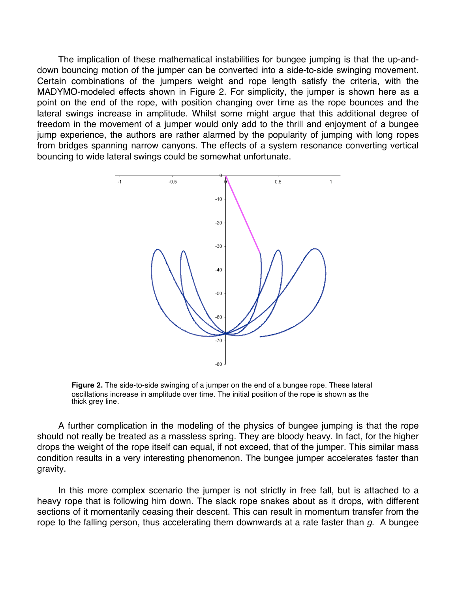The implication of these mathematical instabilities for bungee jumping is that the up-anddown bouncing motion of the jumper can be converted into a side-to-side swinging movement. Certain combinations of the jumpers weight and rope length satisfy the criteria, with the MADYMO-modeled effects shown in Figure 2. For simplicity, the jumper is shown here as a point on the end of the rope, with position changing over time as the rope bounces and the lateral swings increase in amplitude. Whilst some might argue that this additional degree of freedom in the movement of a jumper would only add to the thrill and enjoyment of a bungee jump experience, the authors are rather alarmed by the popularity of jumping with long ropes from bridges spanning narrow canyons. The effects of a system resonance converting vertical bouncing to wide lateral swings could be somewhat unfortunate.



**Figure 2.** The side-to-side swinging of a jumper on the end of a bungee rope. These lateral oscillations increase in amplitude over time. The initial position of the rope is shown as the thick grey line.

A further complication in the modeling of the physics of bungee jumping is that the rope should not really be treated as a massless spring. They are bloody heavy. In fact, for the higher drops the weight of the rope itself can equal, if not exceed, that of the jumper. This similar mass condition results in a very interesting phenomenon. The bungee jumper accelerates faster than gravity.

In this more complex scenario the jumper is not strictly in free fall, but is attached to a heavy rope that is following him down. The slack rope snakes about as it drops, with different sections of it momentarily ceasing their descent. This can result in momentum transfer from the rope to the falling person, thus accelerating them downwards at a rate faster than  $g$ . A bungee